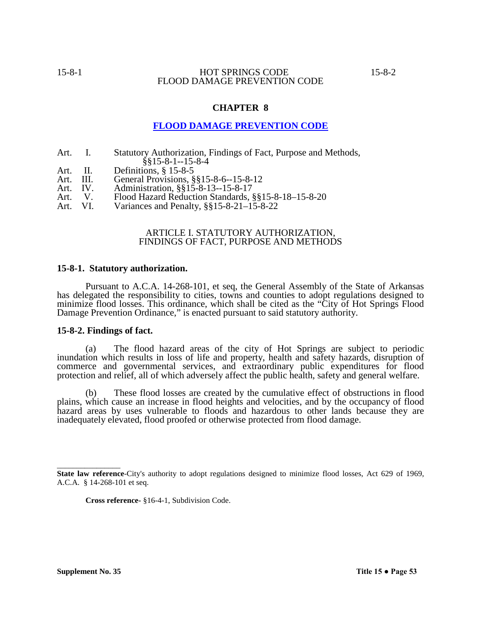#### **CHAPTER 8**

## **FLOOD DAMAGE PREVENTION CODE**

- Art. I. Statutory Authorization, Findings of Fact, Purpose and Methods,  $§$ §15-8-1--15-8-4
- Art. II. Definitions, § 15-8-5<br>Art. III. General Provisions, §
- Art. III. General Provisions, §§15-8-6--15-8-12
- Art. IV. Administration, §§15-8-13--15-8-17
- Art. V. Flood Hazard Reduction Standards, §§15-8-18–15-8-20<br>Art. VI. Variances and Penalty, §§15-8-21–15-8-22
- Variances and Penalty,  $\S$ §15-8-21–15-8-22

#### ARTICLE I. STATUTORY AUTHORIZATION, FINDINGS OF FACT, PURPOSE AND METHODS

#### **15-8-1. Statutory authorization.**

Pursuant to A.C.A. 14-268-101, et seq, the General Assembly of the State of Arkansas has delegated the responsibility to cities, towns and counties to adopt regulations designed to minimize flood losses. This ordinance, which shall be cited as the "City of Hot Springs Flood Damage Prevention Ordinance," is enacted pursuant to said statutory authority.

#### **15-8-2. Findings of fact.**

(a) The flood hazard areas of the city of Hot Springs are subject to periodic inundation which results in loss of life and property, health and safety hazards, disruption of commerce and governmental services, and extraordinary public expenditures for flood protection and relief, all of which adversely affect the public health, safety and general welfare.

(b) These flood losses are created by the cumulative effect of obstructions in flood plains, which cause an increase in flood heights and velocities, and by the occupancy of flood hazard areas by uses vulnerable to floods and hazardous to other lands because they are inadequately elevated, flood proofed or otherwise protected from flood damage.

\_\_\_\_\_\_\_\_\_\_\_\_\_\_\_\_

**State law reference**-City's authority to adopt regulations designed to minimize flood losses, Act 629 of 1969, A.C.A. § 14-268-101 et seq.

**Cross reference-** §16-4-1, Subdivision Code.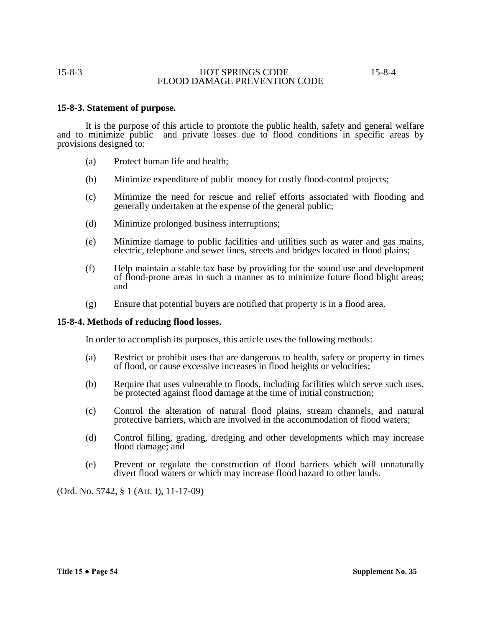#### **15-8-3. Statement of purpose.**

It is the purpose of this article to promote the public health, safety and general welfare and to minimize public and private losses due to flood conditions in specific areas by provisions designed to:

- (a) Protect human life and health;
- (b) Minimize expenditure of public money for costly flood-control projects;
- (c) Minimize the need for rescue and relief efforts associated with flooding and generally undertaken at the expense of the general public;
- (d) Minimize prolonged business interruptions;
- (e) Minimize damage to public facilities and utilities such as water and gas mains, electric, telephone and sewer lines, streets and bridges located in flood plains;
- (f) Help maintain a stable tax base by providing for the sound use and development of flood-prone areas in such a manner as to minimize future flood blight areas; and
- (g) Ensure that potential buyers are notified that property is in a flood area.

#### **15-8-4. Methods of reducing flood losses.**

In order to accomplish its purposes, this article uses the following methods:

- (a) Restrict or prohibit uses that are dangerous to health, safety or property in times of flood, or cause excessive increases in flood heights or velocities;
- (b) Require that uses vulnerable to floods, including facilities which serve such uses, be protected against flood damage at the time of initial construction;
- (c) Control the alteration of natural flood plains, stream channels, and natural protective barriers, which are involved in the accommodation of flood waters;
- (d) Control filling, grading, dredging and other developments which may increase flood damage; and
- (e) Prevent or regulate the construction of flood barriers which will unnaturally divert flood waters or which may increase flood hazard to other lands.

(Ord. No. 5742, § 1 (Art. I), 11-17-09)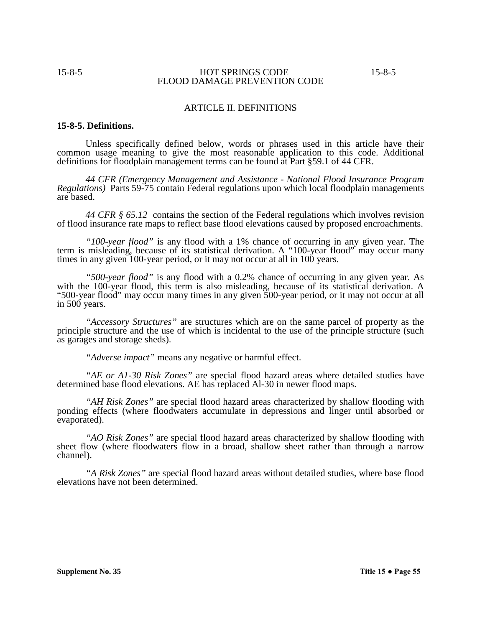#### ARTICLE II. DEFINITIONS

#### **15-8-5. Definitions.**

Unless specifically defined below, words or phrases used in this article have their common usage meaning to give the most reasonable application to this code. Additional definitions for floodplain management terms can be found at Part §59.1 of 44 CFR.

*44 CFR (Emergency Management and Assistance* - *National Flood Insurance Program Regulations)* Parts 59-75 contain Federal regulations upon which local floodplain managements are based.

*44 CFR § 65.12* contains the section of the Federal regulations which involves revision of flood insurance rate maps to reflect base flood elevations caused by proposed encroachments.

*"100-year flood"* is any flood with a 1% chance of occurring in any given year. The term is misleading, because of its statistical derivation. A "100-year flood" may occur many times in any given 100-year period, or it may not occur at all in 100 years.

*"500-year flood"* is any flood with a 0.2% chance of occurring in any given year. As with the 100-year flood, this term is also misleading, because of its statistical derivation. A "500-year flood" may occur many times in any given 500-year period, or it may not occur at all in 500 years.

*"Accessory Structures"* are structures which are on the same parcel of property as the principle structure and the use of which is incidental to the use of the principle structure (such as garages and storage sheds).

*"Adverse impact"* means any negative or harmful effect.

*"AE or A1-30 Risk Zones"* are special flood hazard areas where detailed studies have determined base flood elevations. AE has replaced Al-30 in newer flood maps.

*"AH Risk Zones"* are special flood hazard areas characterized by shallow flooding with ponding effects (where floodwaters accumulate in depressions and linger until absorbed or evaporated).

*"AO Risk Zones"* are special flood hazard areas characterized by shallow flooding with sheet flow (where floodwaters flow in a broad, shallow sheet rather than through a narrow channel).

*"A Risk Zones"* are special flood hazard areas without detailed studies, where base flood elevations have not been determined.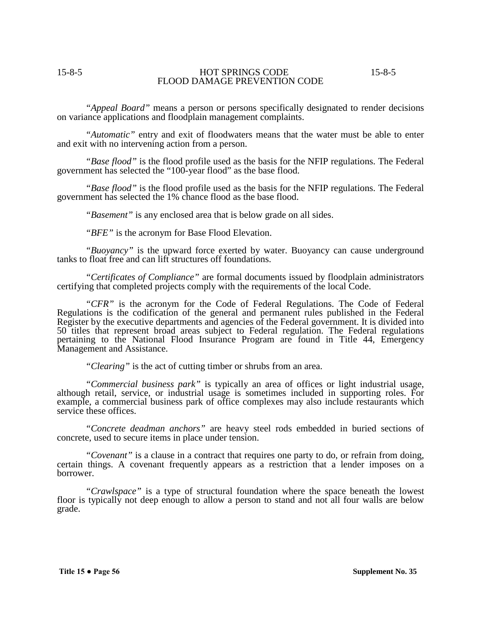*"Appeal Board"* means a person or persons specifically designated to render decisions on variance applications and floodplain management complaints.

*"Automatic"* entry and exit of floodwaters means that the water must be able to enter and exit with no intervening action from a person.

*"Base flood"* is the flood profile used as the basis for the NFIP regulations. The Federal government has selected the "100-year flood" as the base flood.

*"Base flood"* is the flood profile used as the basis for the NFIP regulations. The Federal government has selected the 1% chance flood as the base flood.

*"Basement"* is any enclosed area that is below grade on all sides.

*"BFE"* is the acronym for Base Flood Elevation.

*"Buoyancy"* is the upward force exerted by water. Buoyancy can cause underground tanks to float free and can lift structures off foundations.

*"Certificates of Compliance"* are formal documents issued by floodplain administrators certifying that completed projects comply with the requirements of the local Code.

*"CFR"* is the acronym for the Code of Federal Regulations. The Code of Federal Regulations is the codification of the general and permanent rules published in the Federal Register by the executive departments and agencies of the Federal government. It is divided into 50 titles that represent broad areas subject to Federal regulation. The Federal regulations pertaining to the National Flood Insurance Program are found in Title 44, Emergency Management and Assistance.

*"Clearing"* is the act of cutting timber or shrubs from an area.

*"Commercial business park"* is typically an area of offices or light industrial usage, although retail, service, or industrial usage is sometimes included in supporting roles. For example, a commercial business park of office complexes may also include restaurants which service these offices.

*"Concrete deadman anchors"* are heavy steel rods embedded in buried sections of concrete, used to secure items in place under tension.

*"Covenant"* is a clause in a contract that requires one party to do, or refrain from doing, certain things. A covenant frequently appears as a restriction that a lender imposes on a borrower.

*"Crawlspace"* is a type of structural foundation where the space beneath the lowest floor is typically not deep enough to allow a person to stand and not all four walls are below grade.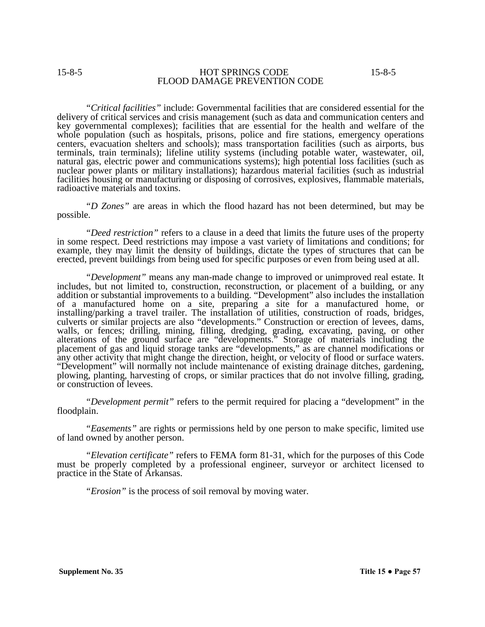*"Critical facilities"* include: Governmental facilities that are considered essential for the delivery of critical services and crisis management (such as data and communication centers and key governmental complexes); facilities that are essential for the health and welfare of the whole population (such as hospitals, prisons, police and fire stations, emergency operations centers, evacuation shelters and schools); mass transportation facilities (such as airports, bus terminals, train terminals); lifeline utility systems (including potable water, wastewater, oil, natural gas, electric power and communications systems); high potential loss facilities (such as nuclear power plants or military installations); hazardous material facilities (such as industrial facilities housing or manufacturing or disposing of corrosives, explosives, flammable materials, radioactive materials and toxins.

*"D Zones"* are areas in which the flood hazard has not been determined, but may be possible.

*"Deed restriction"* refers to a clause in a deed that limits the future uses of the property in some respect. Deed restrictions may impose a vast variety of limitations and conditions; for example, they may limit the density of buildings, dictate the types of structures that can be erected, prevent buildings from being used for specific purposes or even from being used at all.

*"Development"* means any man-made change to improved or unimproved real estate. It includes, but not limited to, construction, reconstruction, or placement of a building, or any addition or substantial improvements to a building. "Development" also includes the installation of a manufactured home on a site, preparing a site for a manufactured home, or installing/parking a travel trailer. The installation of utilities, construction of roads, bridges, culverts or similar projects are also "developments." Construction or erection of levees, dams, walls, or fences; drilling, mining, filling, dredging, grading, excavating, paving, or other alterations of the ground surface are "developments." Storage of materials including the placement of gas and liquid storage tanks are "developments," as are channel modifications or any other activity that might change the direction, height, or velocity of flood or surface waters. "Development" will normally not include maintenance of existing drainage ditches, gardening, plowing, planting, harvesting of crops, or similar practices that do not involve filling, grading, or construction of levees.

*"Development permit"* refers to the permit required for placing a "development" in the floodplain.

*"Easements"* are rights or permissions held by one person to make specific, limited use of land owned by another person.

*"Elevation certificate"* refers to FEMA form 81-31, which for the purposes of this Code must be properly completed by a professional engineer, surveyor or architect licensed to practice in the State of Arkansas.

*"Erosion"* is the process of soil removal by moving water.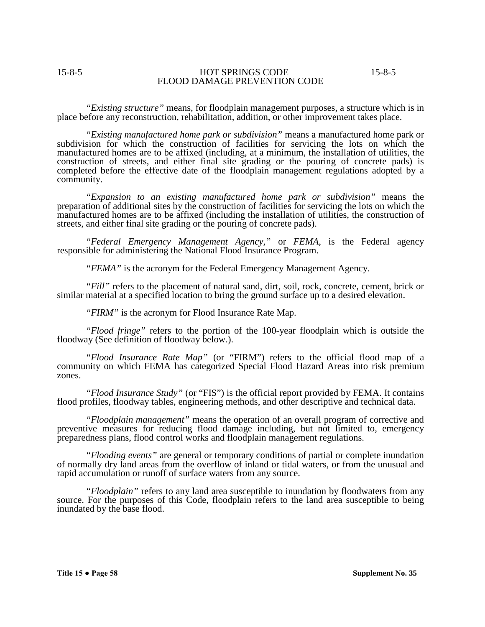*"Existing structure"* means, for floodplain management purposes, a structure which is in place before any reconstruction, rehabilitation, addition, or other improvement takes place.

*"Existing manufactured home park or subdivision"* means a manufactured home park or subdivision for which the construction of facilities for servicing the lots on which the manufactured homes are to be affixed (including, at a minimum, the installation of utilities, the construction of streets, and either final site grading or the pouring of concrete pads) is completed before the effective date of the floodplain management regulations adopted by a community.

*"Expansion to an existing manufactured home park or subdivision"* means the preparation of additional sites by the construction of facilities for servicing the lots on which the manufactured homes are to be affixed (including the installation of utilities, the construction of streets, and either final site grading or the pouring of concrete pads).

*"Federal Emergency Management Agency,"* or *FEMA*, is the Federal agency responsible for administering the National Flood Insurance Program.

*"FEMA"* is the acronym for the Federal Emergency Management Agency.

*"Fill"* refers to the placement of natural sand, dirt, soil, rock, concrete, cement, brick or similar material at a specified location to bring the ground surface up to a desired elevation.

*"FIRM"* is the acronym for Flood Insurance Rate Map.

*"Flood fringe"* refers to the portion of the 100-year floodplain which is outside the floodway (See definition of floodway below.).

*"Flood Insurance Rate Map"* (or "FIRM") refers to the official flood map of a community on which FEMA has categorized Special Flood Hazard Areas into risk premium zones.

*"Flood Insurance Study"* (or "FIS") is the official report provided by FEMA. It contains flood profiles, floodway tables, engineering methods, and other descriptive and technical data.

*"Floodplain management"* means the operation of an overall program of corrective and preventive measures for reducing flood damage including, but not limited to, emergency preparedness plans, flood control works and floodplain management regulations.

*"Flooding events"* are general or temporary conditions of partial or complete inundation of normally dry land areas from the overflow of inland or tidal waters, or from the unusual and rapid accumulation or runoff of surface waters from any source.

*"Floodplain"* refers to any land area susceptible to inundation by floodwaters from any source. For the purposes of this Code, floodplain refers to the land area susceptible to being inundated by the base flood.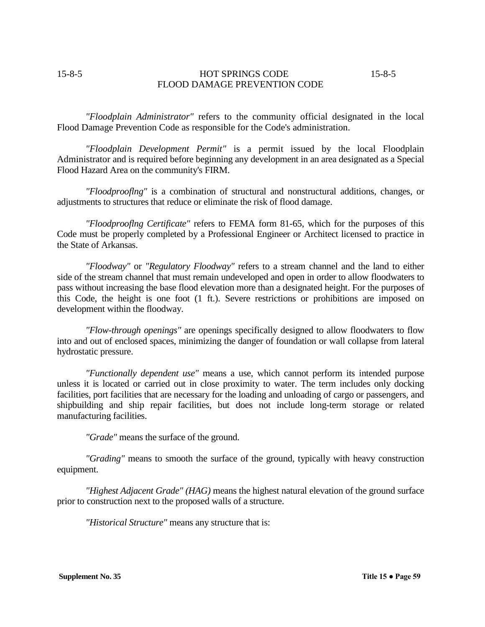*"Floodplain Administrator"* refers to the community official designated in the local Flood Damage Prevention Code as responsible for the Code's administration.

*"Floodplain Development Permit"* is a permit issued by the local Floodplain Administrator and is required before beginning any development in an area designated as a Special Flood Hazard Area on the community's FIRM.

*"Floodprooflng"* is a combination of structural and nonstructural additions, changes, or adjustments to structures that reduce or eliminate the risk of flood damage.

*"Floodprooflng Certificate"* refers to FEMA form 81-65, which for the purposes of this Code must be properly completed by a Professional Engineer or Architect licensed to practice in the State of Arkansas.

*"Floodway"* or *"Regulatory Floodway"* refers to a stream channel and the land to either side of the stream channel that must remain undeveloped and open in order to allow floodwaters to pass without increasing the base flood elevation more than a designated height. For the purposes of this Code, the height is one foot (1 ft.). Severe restrictions or prohibitions are imposed on development within the floodway.

*"Flow-through openings"* are openings specifically designed to allow floodwaters to flow into and out of enclosed spaces, minimizing the danger of foundation or wall collapse from lateral hydrostatic pressure.

*"Functionally dependent use"* means a use, which cannot perform its intended purpose unless it is located or carried out in close proximity to water. The term includes only docking facilities, port facilities that are necessary for the loading and unloading of cargo or passengers, and shipbuilding and ship repair facilities, but does not include long-term storage or related manufacturing facilities.

*"Grade"* means the surface of the ground.

*"Grading"* means to smooth the surface of the ground, typically with heavy construction equipment.

*"Highest Adjacent Grade" (HAG)* means the highest natural elevation of the ground surface prior to construction next to the proposed walls of a structure.

*"Historical Structure"* means any structure that is: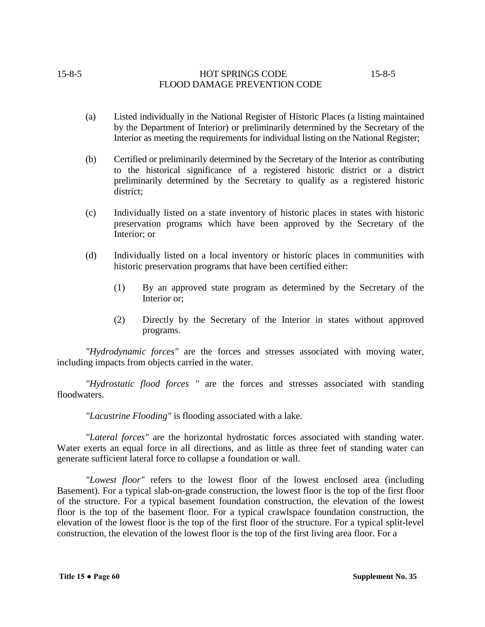- (a) Listed individually in the National Register of Historic Places (a listing maintained by the Department of Interior) or preliminarily determined by the Secretary of the Interior as meeting the requirements for individual listing on the National Register;
- (b) Certified or preliminarily determined by the Secretary of the Interior as contributing to the historical significance of a registered historic district or a district preliminarily determined by the Secretary to qualify as a registered historic district;
- (c) Individually listed on a state inventory of historic places in states with historic preservation programs which have been approved by the Secretary of the Interior; or
- (d) Individually listed on a local inventory or historic places in communities with historic preservation programs that have been certified either:
	- (1) By an approved state program as determined by the Secretary of the Interior or;
	- (2) Directly by the Secretary of the Interior in states without approved programs.

*"Hydrodynamic forces"* are the forces and stresses associated with moving water, including impacts from objects carried in the water.

*"Hydrostatic flood forces "* are the forces and stresses associated with standing floodwaters.

*"Lacustrine Flooding"* is flooding associated with a lake.

*"Lateral forces"* are the horizontal hydrostatic forces associated with standing water. Water exerts an equal force in all directions, and as little as three feet of standing water can generate sufficient lateral force to collapse a foundation or wall.

*"Lowest floor"* refers to the lowest floor of the lowest enclosed area (including Basement). For a typical slab-on-grade construction, the lowest floor is the top of the first floor of the structure. For a typical basement foundation construction, the elevation of the lowest floor is the top of the basement floor. For a typical crawlspace foundation construction, the elevation of the lowest floor is the top of the first floor of the structure. For a typical split-level construction, the elevation of the lowest floor is the top of the first living area floor. For a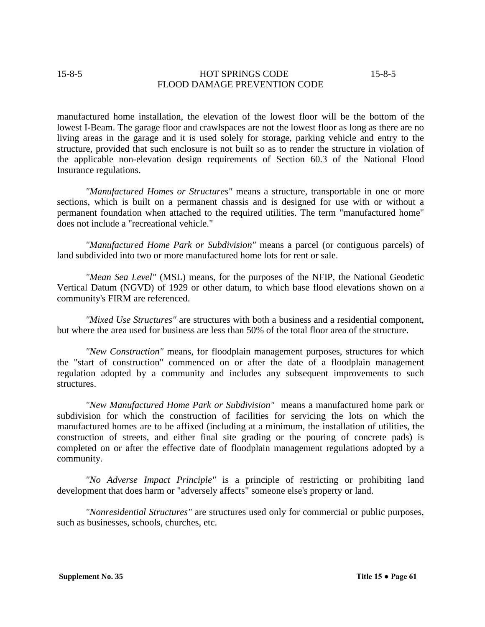manufactured home installation, the elevation of the lowest floor will be the bottom of the lowest I-Beam. The garage floor and crawlspaces are not the lowest floor as long as there are no living areas in the garage and it is used solely for storage, parking vehicle and entry to the structure, provided that such enclosure is not built so as to render the structure in violation of the applicable non-elevation design requirements of Section 60.3 of the National Flood Insurance regulations.

*"Manufactured Homes or Structures"* means a structure, transportable in one or more sections, which is built on a permanent chassis and is designed for use with or without a permanent foundation when attached to the required utilities. The term "manufactured home" does not include a "recreational vehicle."

*"Manufactured Home Park or Subdivision"* means a parcel (or contiguous parcels) of land subdivided into two or more manufactured home lots for rent or sale.

*"Mean Sea Level"* (MSL) means, for the purposes of the NFIP, the National Geodetic Vertical Datum (NGVD) of 1929 or other datum, to which base flood elevations shown on a community's FIRM are referenced.

*"Mixed Use Structures"* are structures with both a business and a residential component, but where the area used for business are less than 50% of the total floor area of the structure.

*"New Construction"* means, for floodplain management purposes, structures for which the "start of construction" commenced on or after the date of a floodplain management regulation adopted by a community and includes any subsequent improvements to such structures.

*"New Manufactured Home Park or Subdivision"* means a manufactured home park or subdivision for which the construction of facilities for servicing the lots on which the manufactured homes are to be affixed (including at a minimum, the installation of utilities, the construction of streets, and either final site grading or the pouring of concrete pads) is completed on or after the effective date of floodplain management regulations adopted by a community.

*"No Adverse Impact Principle"* is a principle of restricting or prohibiting land development that does harm or "adversely affects" someone else's property or land.

*"Nonresidential Structures"* are structures used only for commercial or public purposes, such as businesses, schools, churches, etc.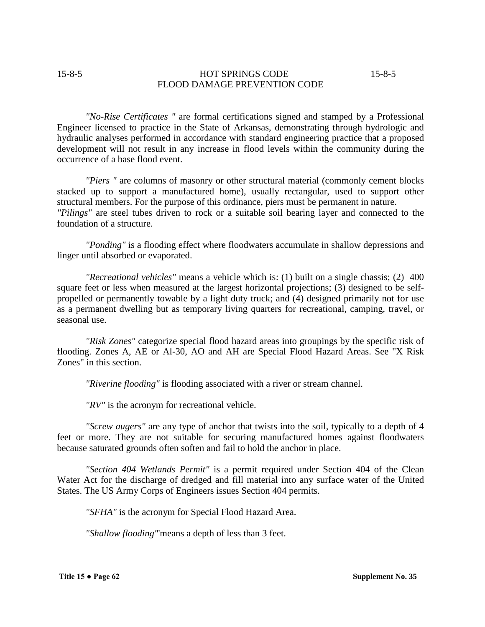*"No-Rise Certificates "* are formal certifications signed and stamped by a Professional Engineer licensed to practice in the State of Arkansas, demonstrating through hydrologic and hydraulic analyses performed in accordance with standard engineering practice that a proposed development will not result in any increase in flood levels within the community during the occurrence of a base flood event.

*"Piers "* are columns of masonry or other structural material (commonly cement blocks stacked up to support a manufactured home), usually rectangular, used to support other structural members. For the purpose of this ordinance, piers must be permanent in nature. *"Pilings"* are steel tubes driven to rock or a suitable soil bearing layer and connected to the foundation of a structure.

*"Ponding"* is a flooding effect where floodwaters accumulate in shallow depressions and linger until absorbed or evaporated.

*"Recreational vehicles"* means a vehicle which is: (1) built on a single chassis; (2) 400 square feet or less when measured at the largest horizontal projections; (3) designed to be selfpropelled or permanently towable by a light duty truck; and (4) designed primarily not for use as a permanent dwelling but as temporary living quarters for recreational, camping, travel, or seasonal use.

*"Risk Zones"* categorize special flood hazard areas into groupings by the specific risk of flooding. Zones A, AE or Al-30, AO and AH are Special Flood Hazard Areas. See "X Risk Zones" in this section.

*"Riverine flooding"* is flooding associated with a river or stream channel.

*"RV"* is the acronym for recreational vehicle.

*"Screw augers"* are any type of anchor that twists into the soil, typically to a depth of 4 feet or more. They are not suitable for securing manufactured homes against floodwaters because saturated grounds often soften and fail to hold the anchor in place.

*"Section 404 Wetlands Permit"* is a permit required under Section 404 of the Clean Water Act for the discharge of dredged and fill material into any surface water of the United States. The US Army Corps of Engineers issues Section 404 permits.

*"SFHA"* is the acronym for Special Flood Hazard Area.

*"Shallow flooding"*'means a depth of less than 3 feet.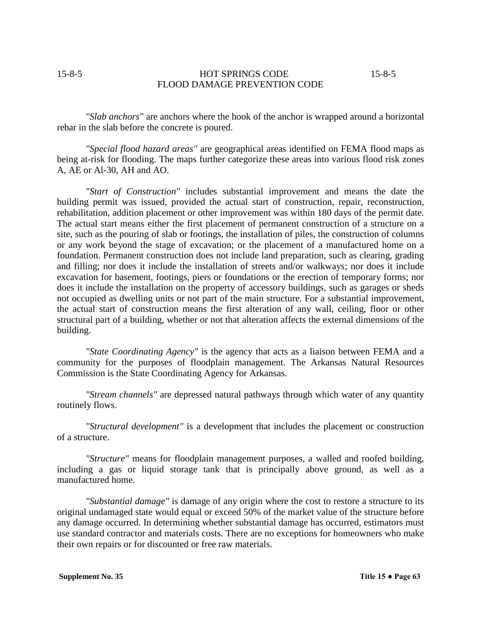*"Slab anchors"* are anchors where the hook of the anchor is wrapped around a horizontal rebar in the slab before the concrete is poured.

*"Special flood hazard areas"* are geographical areas identified on FEMA flood maps as being at-risk for flooding. The maps further categorize these areas into various flood risk zones A, AE or Al-30, AH and AO.

*"Start of Construction"* includes substantial improvement and means the date the building permit was issued, provided the actual start of construction, repair, reconstruction, rehabilitation, addition placement or other improvement was within 180 days of the permit date. The actual start means either the first placement of permanent construction of a structure on a site, such as the pouring of slab or footings, the installation of piles, the construction of columns or any work beyond the stage of excavation; or the placement of a manufactured home on a foundation. Permanent construction does not include land preparation, such as clearing, grading and filling; nor does it include the installation of streets and/or walkways; nor does it include excavation for basement, footings, piers or foundations or the erection of temporary forms; nor does it include the installation on the property of accessory buildings, such as garages or sheds not occupied as dwelling units or not part of the main structure. For a substantial improvement, the actual start of construction means the first alteration of any wall, ceiling, floor or other structural part of a building, whether or not that alteration affects the external dimensions of the building.

*"State Coordinating Agency"* is the agency that acts as a liaison between FEMA and a community for the purposes of floodplain management. The Arkansas Natural Resources Commission is the State Coordinating Agency for Arkansas.

*"Stream channels"* are depressed natural pathways through which water of any quantity routinely flows.

*"Structural development"* is a development that includes the placement or construction of a structure.

*"Structure"* means for floodplain management purposes, a walled and roofed building, including a gas or liquid storage tank that is principally above ground, as well as a manufactured home.

*"Substantial damage"* is damage of any origin where the cost to restore a structure to its original undamaged state would equal or exceed 50% of the market value of the structure before any damage occurred. In determining whether substantial damage has occurred, estimators must use standard contractor and materials costs. There are no exceptions for homeowners who make their own repairs or for discounted or free raw materials.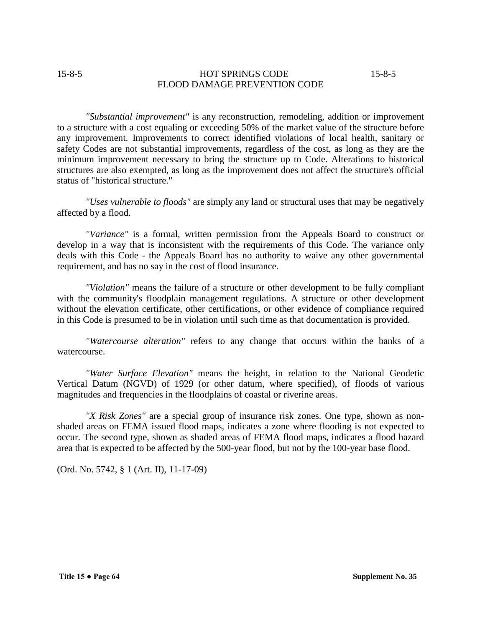*"Substantial improvement"* is any reconstruction, remodeling, addition or improvement to a structure with a cost equaling or exceeding 50% of the market value of the structure before any improvement. Improvements to correct identified violations of local health, sanitary or safety Codes are not substantial improvements, regardless of the cost, as long as they are the minimum improvement necessary to bring the structure up to Code. Alterations to historical structures are also exempted, as long as the improvement does not affect the structure's official status of "historical structure."

*"Uses vulnerable to floods"* are simply any land or structural uses that may be negatively affected by a flood.

*"Variance"* is a formal, written permission from the Appeals Board to construct or develop in a way that is inconsistent with the requirements of this Code. The variance only deals with this Code - the Appeals Board has no authority to waive any other governmental requirement, and has no say in the cost of flood insurance.

*"Violation"* means the failure of a structure or other development to be fully compliant with the community's floodplain management regulations. A structure or other development without the elevation certificate, other certifications, or other evidence of compliance required in this Code is presumed to be in violation until such time as that documentation is provided.

*"Watercourse alteration"* refers to any change that occurs within the banks of a watercourse.

*"Water Surface Elevation"* means the height, in relation to the National Geodetic Vertical Datum (NGVD) of 1929 (or other datum, where specified), of floods of various magnitudes and frequencies in the floodplains of coastal or riverine areas.

*"X Risk Zones"* are a special group of insurance risk zones. One type, shown as nonshaded areas on FEMA issued flood maps, indicates a zone where flooding is not expected to occur. The second type, shown as shaded areas of FEMA flood maps, indicates a flood hazard area that is expected to be affected by the 500-year flood, but not by the 100-year base flood.

(Ord. No. 5742, § 1 (Art. II), 11-17-09)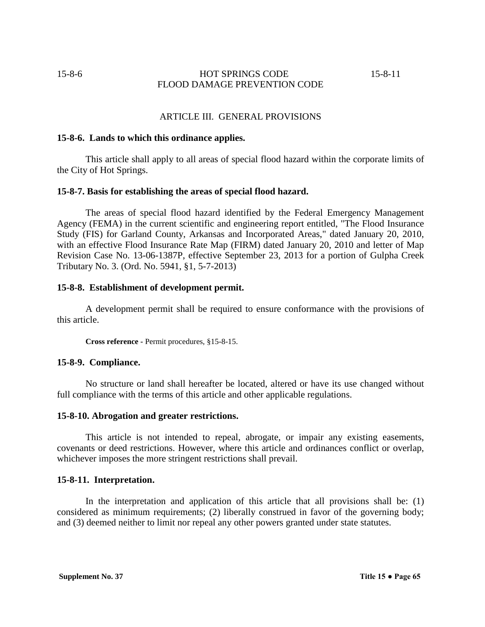## ARTICLE III. GENERAL PROVISIONS

#### **15-8-6. Lands to which this ordinance applies.**

This article shall apply to all areas of special flood hazard within the corporate limits of the City of Hot Springs.

#### **15-8-7. Basis for establishing the areas of special flood hazard.**

The areas of special flood hazard identified by the Federal Emergency Management Agency (FEMA) in the current scientific and engineering report entitled, "The Flood Insurance Study (FIS) for Garland County, Arkansas and Incorporated Areas," dated January 20, 2010, with an effective Flood Insurance Rate Map (FIRM) dated January 20, 2010 and letter of Map Revision Case No. 13-06-1387P, effective September 23, 2013 for a portion of Gulpha Creek Tributary No. 3. (Ord. No. 5941, §1, 5-7-2013)

#### **15-8-8. Establishment of development permit.**

A development permit shall be required to ensure conformance with the provisions of this article.

**Cross reference -** Permit procedures, §15-8-15.

#### **15-8-9. Compliance.**

No structure or land shall hereafter be located, altered or have its use changed without full compliance with the terms of this article and other applicable regulations.

## **15-8-10. Abrogation and greater restrictions.**

This article is not intended to repeal, abrogate, or impair any existing easements, covenants or deed restrictions. However, where this article and ordinances conflict or overlap, whichever imposes the more stringent restrictions shall prevail.

#### **15-8-11. Interpretation.**

In the interpretation and application of this article that all provisions shall be: (1) considered as minimum requirements; (2) liberally construed in favor of the governing body; and (3) deemed neither to limit nor repeal any other powers granted under state statutes.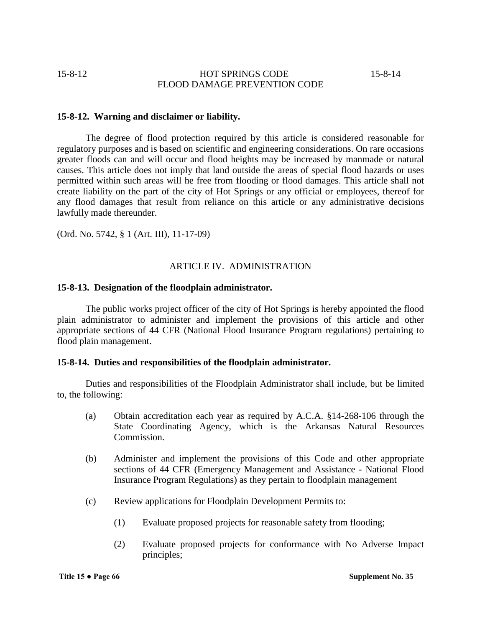## **15-8-12. Warning and disclaimer or liability.**

The degree of flood protection required by this article is considered reasonable for regulatory purposes and is based on scientific and engineering considerations. On rare occasions greater floods can and will occur and flood heights may be increased by manmade or natural causes. This article does not imply that land outside the areas of special flood hazards or uses permitted within such areas will he free from flooding or flood damages. This article shall not create liability on the part of the city of Hot Springs or any official or employees, thereof for any flood damages that result from reliance on this article or any administrative decisions lawfully made thereunder.

(Ord. No. 5742, § 1 (Art. III), 11-17-09)

## ARTICLE IV. ADMINISTRATION

## **15-8-13. Designation of the floodplain administrator.**

The public works project officer of the city of Hot Springs is hereby appointed the flood plain administrator to administer and implement the provisions of this article and other appropriate sections of 44 CFR (National Flood Insurance Program regulations) pertaining to flood plain management.

## **15-8-14. Duties and responsibilities of the floodplain administrator.**

Duties and responsibilities of the Floodplain Administrator shall include, but be limited to, the following:

- (a) Obtain accreditation each year as required by A.C.A. §14-268-106 through the State Coordinating Agency, which is the Arkansas Natural Resources Commission.
- (b) Administer and implement the provisions of this Code and other appropriate sections of 44 CFR (Emergency Management and Assistance - National Flood Insurance Program Regulations) as they pertain to floodplain management
- (c) Review applications for Floodplain Development Permits to:
	- (1) Evaluate proposed projects for reasonable safety from flooding;
	- (2) Evaluate proposed projects for conformance with No Adverse Impact principles;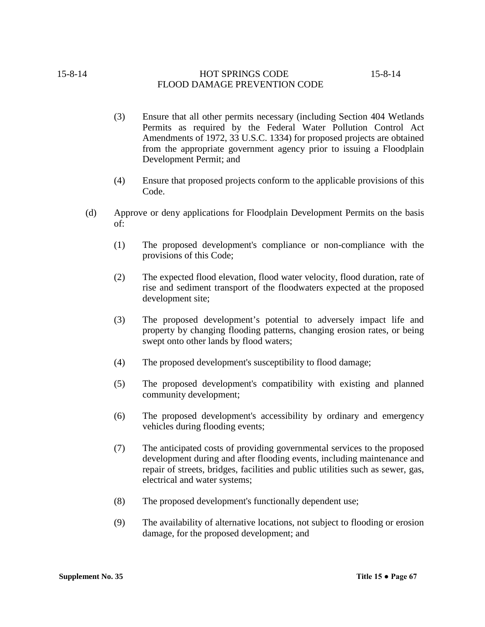- (3) Ensure that all other permits necessary (including Section 404 Wetlands Permits as required by the Federal Water Pollution Control Act Amendments of 1972, 33 U.S.C. 1334) for proposed projects are obtained from the appropriate government agency prior to issuing a Floodplain Development Permit; and
- (4) Ensure that proposed projects conform to the applicable provisions of this Code.
- (d) Approve or deny applications for Floodplain Development Permits on the basis of:
	- (1) The proposed development's compliance or non-compliance with the provisions of this Code;
	- (2) The expected flood elevation, flood water velocity, flood duration, rate of rise and sediment transport of the floodwaters expected at the proposed development site;
	- (3) The proposed development's potential to adversely impact life and property by changing flooding patterns, changing erosion rates, or being swept onto other lands by flood waters;
	- (4) The proposed development's susceptibility to flood damage;
	- (5) The proposed development's compatibility with existing and planned community development;
	- (6) The proposed development's accessibility by ordinary and emergency vehicles during flooding events;
	- (7) The anticipated costs of providing governmental services to the proposed development during and after flooding events, including maintenance and repair of streets, bridges, facilities and public utilities such as sewer, gas, electrical and water systems;
	- (8) The proposed development's functionally dependent use;
	- (9) The availability of alternative locations, not subject to flooding or erosion damage, for the proposed development; and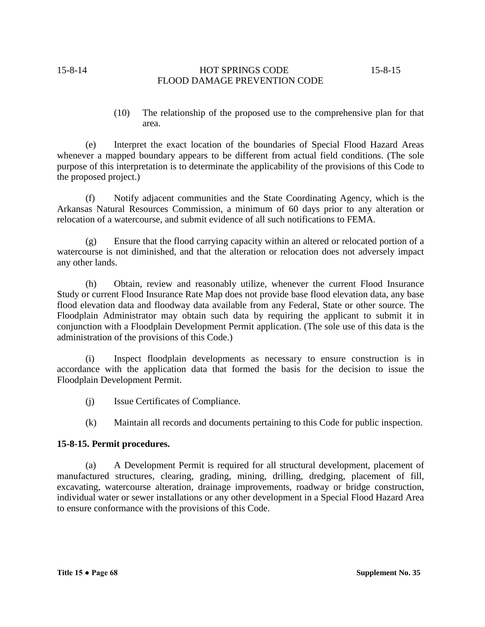(10) The relationship of the proposed use to the comprehensive plan for that area.

(e) Interpret the exact location of the boundaries of Special Flood Hazard Areas whenever a mapped boundary appears to be different from actual field conditions. (The sole purpose of this interpretation is to determinate the applicability of the provisions of this Code to the proposed project.)

(f) Notify adjacent communities and the State Coordinating Agency, which is the Arkansas Natural Resources Commission, a minimum of 60 days prior to any alteration or relocation of a watercourse, and submit evidence of all such notifications to FEMA.

(g) Ensure that the flood carrying capacity within an altered or relocated portion of a watercourse is not diminished, and that the alteration or relocation does not adversely impact any other lands.

(h) Obtain, review and reasonably utilize, whenever the current Flood Insurance Study or current Flood Insurance Rate Map does not provide base flood elevation data, any base flood elevation data and floodway data available from any Federal, State or other source. The Floodplain Administrator may obtain such data by requiring the applicant to submit it in conjunction with a Floodplain Development Permit application. (The sole use of this data is the administration of the provisions of this Code.)

(i) Inspect floodplain developments as necessary to ensure construction is in accordance with the application data that formed the basis for the decision to issue the Floodplain Development Permit.

- (j) Issue Certificates of Compliance.
- (k) Maintain all records and documents pertaining to this Code for public inspection.

## **15-8-15. Permit procedures.**

(a) A Development Permit is required for all structural development, placement of manufactured structures, clearing, grading, mining, drilling, dredging, placement of fill, excavating, watercourse alteration, drainage improvements, roadway or bridge construction, individual water or sewer installations or any other development in a Special Flood Hazard Area to ensure conformance with the provisions of this Code.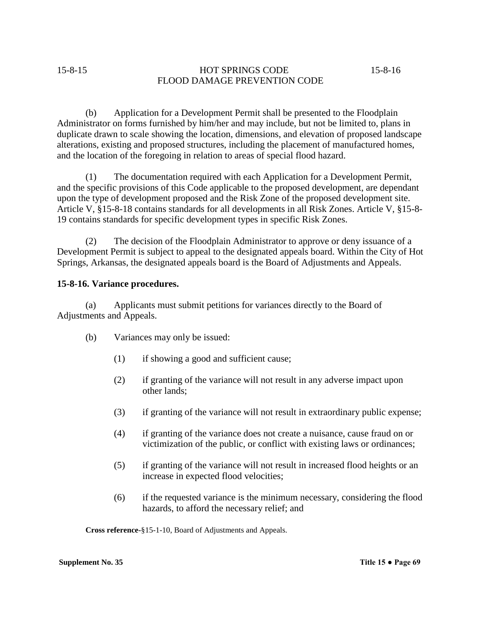(b) Application for a Development Permit shall be presented to the Floodplain Administrator on forms furnished by him/her and may include, but not be limited to, plans in duplicate drawn to scale showing the location, dimensions, and elevation of proposed landscape alterations, existing and proposed structures, including the placement of manufactured homes, and the location of the foregoing in relation to areas of special flood hazard.

(1) The documentation required with each Application for a Development Permit, and the specific provisions of this Code applicable to the proposed development, are dependant upon the type of development proposed and the Risk Zone of the proposed development site. Article V, §15-8-18 contains standards for all developments in all Risk Zones. Article V, §15-8- 19 contains standards for specific development types in specific Risk Zones.

(2) The decision of the Floodplain Administrator to approve or deny issuance of a Development Permit is subject to appeal to the designated appeals board. Within the City of Hot Springs, Arkansas, the designated appeals board is the Board of Adjustments and Appeals.

## **15-8-16. Variance procedures.**

(a) Applicants must submit petitions for variances directly to the Board of Adjustments and Appeals.

- (b) Variances may only be issued:
	- (1) if showing a good and sufficient cause;
	- (2) if granting of the variance will not result in any adverse impact upon other lands;
	- (3) if granting of the variance will not result in extraordinary public expense;
	- (4) if granting of the variance does not create a nuisance, cause fraud on or victimization of the public, or conflict with existing laws or ordinances;
	- (5) if granting of the variance will not result in increased flood heights or an increase in expected flood velocities;
	- (6) if the requested variance is the minimum necessary, considering the flood hazards, to afford the necessary relief; and

**Cross reference-**§15-1-10, Board of Adjustments and Appeals.

**Supplement No. 35 Title 15 • Page 69**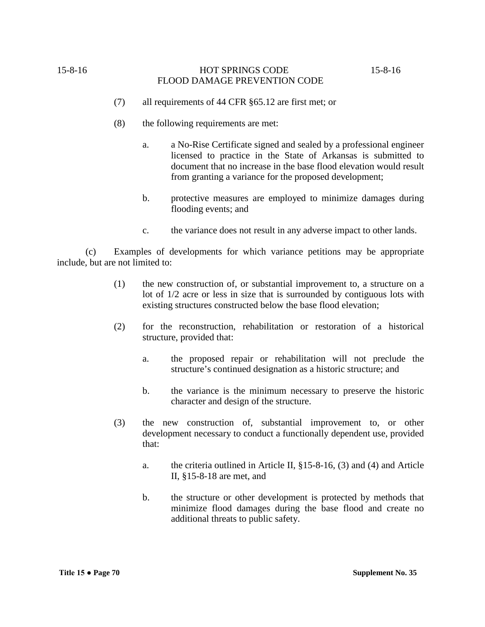- (7) all requirements of 44 CFR §65.12 are first met; or
- (8) the following requirements are met:
	- a. a No-Rise Certificate signed and sealed by a professional engineer licensed to practice in the State of Arkansas is submitted to document that no increase in the base flood elevation would result from granting a variance for the proposed development;
	- b. protective measures are employed to minimize damages during flooding events; and
	- c. the variance does not result in any adverse impact to other lands.

(c) Examples of developments for which variance petitions may be appropriate include, but are not limited to:

- (1) the new construction of, or substantial improvement to, a structure on a lot of 1/2 acre or less in size that is surrounded by contiguous lots with existing structures constructed below the base flood elevation;
- (2) for the reconstruction, rehabilitation or restoration of a historical structure, provided that:
	- a. the proposed repair or rehabilitation will not preclude the structure's continued designation as a historic structure; and
	- b. the variance is the minimum necessary to preserve the historic character and design of the structure.
- (3) the new construction of, substantial improvement to, or other development necessary to conduct a functionally dependent use, provided that:
	- a. the criteria outlined in Article II, §15-8-16, (3) and (4) and Article II, §15-8-18 are met, and
	- b. the structure or other development is protected by methods that minimize flood damages during the base flood and create no additional threats to public safety.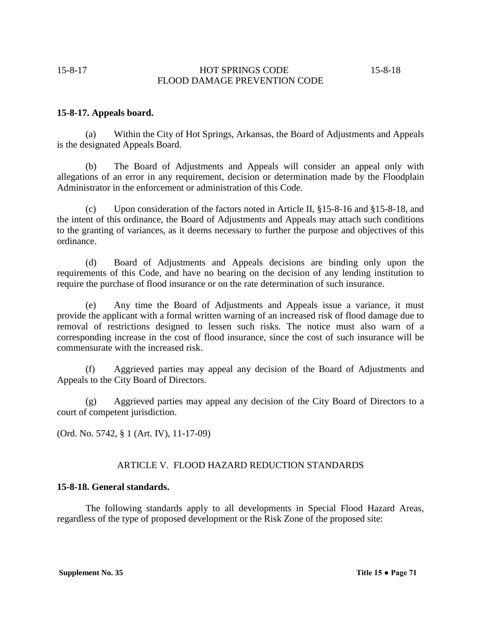## **15-8-17. Appeals board.**

(a) Within the City of Hot Springs, Arkansas, the Board of Adjustments and Appeals is the designated Appeals Board.

(b) The Board of Adjustments and Appeals will consider an appeal only with allegations of an error in any requirement, decision or determination made by the Floodplain Administrator in the enforcement or administration of this Code.

(c) Upon consideration of the factors noted in Article II, §15-8-16 and §15-8-18, and the intent of this ordinance, the Board of Adjustments and Appeals may attach such conditions to the granting of variances, as it deems necessary to further the purpose and objectives of this ordinance.

(d) Board of Adjustments and Appeals decisions are binding only upon the requirements of this Code, and have no bearing on the decision of any lending institution to require the purchase of flood insurance or on the rate determination of such insurance.

(e) Any time the Board of Adjustments and Appeals issue a variance, it must provide the applicant with a formal written warning of an increased risk of flood damage due to removal of restrictions designed to lessen such risks. The notice must also warn of a corresponding increase in the cost of flood insurance, since the cost of such insurance will be commensurate with the increased risk.

(f) Aggrieved parties may appeal any decision of the Board of Adjustments and Appeals to the City Board of Directors.

(g) Aggrieved parties may appeal any decision of the City Board of Directors to a court of competent jurisdiction.

(Ord. No. 5742, § 1 (Art. IV), 11-17-09)

## ARTICLE V. FLOOD HAZARD REDUCTION STANDARDS

## **15-8-18. General standards.**

The following standards apply to all developments in Special Flood Hazard Areas, regardless of the type of proposed development or the Risk Zone of the proposed site: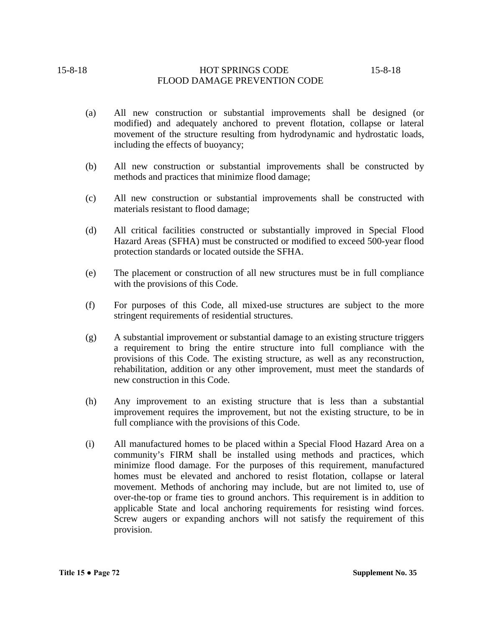- (a) All new construction or substantial improvements shall be designed (or modified) and adequately anchored to prevent flotation, collapse or lateral movement of the structure resulting from hydrodynamic and hydrostatic loads, including the effects of buoyancy;
- (b) All new construction or substantial improvements shall be constructed by methods and practices that minimize flood damage;
- (c) All new construction or substantial improvements shall be constructed with materials resistant to flood damage;
- (d) All critical facilities constructed or substantially improved in Special Flood Hazard Areas (SFHA) must be constructed or modified to exceed 500-year flood protection standards or located outside the SFHA.
- (e) The placement or construction of all new structures must be in full compliance with the provisions of this Code.
- (f) For purposes of this Code, all mixed-use structures are subject to the more stringent requirements of residential structures.
- (g) A substantial improvement or substantial damage to an existing structure triggers a requirement to bring the entire structure into full compliance with the provisions of this Code. The existing structure, as well as any reconstruction, rehabilitation, addition or any other improvement, must meet the standards of new construction in this Code.
- (h) Any improvement to an existing structure that is less than a substantial improvement requires the improvement, but not the existing structure, to be in full compliance with the provisions of this Code.
- (i) All manufactured homes to be placed within a Special Flood Hazard Area on a community's FIRM shall be installed using methods and practices, which minimize flood damage. For the purposes of this requirement, manufactured homes must be elevated and anchored to resist flotation, collapse or lateral movement. Methods of anchoring may include, but are not limited to, use of over-the-top or frame ties to ground anchors. This requirement is in addition to applicable State and local anchoring requirements for resisting wind forces. Screw augers or expanding anchors will not satisfy the requirement of this provision.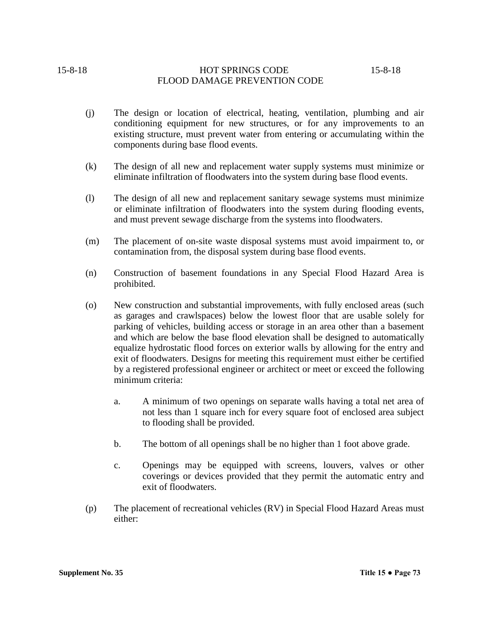- (j) The design or location of electrical, heating, ventilation, plumbing and air conditioning equipment for new structures, or for any improvements to an existing structure, must prevent water from entering or accumulating within the components during base flood events.
- (k) The design of all new and replacement water supply systems must minimize or eliminate infiltration of floodwaters into the system during base flood events.
- (l) The design of all new and replacement sanitary sewage systems must minimize or eliminate infiltration of floodwaters into the system during flooding events, and must prevent sewage discharge from the systems into floodwaters.
- (m) The placement of on-site waste disposal systems must avoid impairment to, or contamination from, the disposal system during base flood events.
- (n) Construction of basement foundations in any Special Flood Hazard Area is prohibited.
- (o) New construction and substantial improvements, with fully enclosed areas (such as garages and crawlspaces) below the lowest floor that are usable solely for parking of vehicles, building access or storage in an area other than a basement and which are below the base flood elevation shall be designed to automatically equalize hydrostatic flood forces on exterior walls by allowing for the entry and exit of floodwaters. Designs for meeting this requirement must either be certified by a registered professional engineer or architect or meet or exceed the following minimum criteria:
	- a. A minimum of two openings on separate walls having a total net area of not less than 1 square inch for every square foot of enclosed area subject to flooding shall be provided.
	- b. The bottom of all openings shall be no higher than 1 foot above grade.
	- c. Openings may be equipped with screens, louvers, valves or other coverings or devices provided that they permit the automatic entry and exit of floodwaters.
- (p) The placement of recreational vehicles (RV) in Special Flood Hazard Areas must either: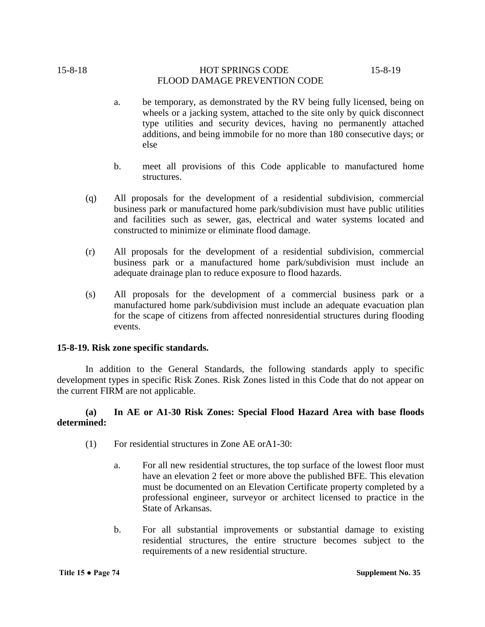- a. be temporary, as demonstrated by the RV being fully licensed, being on wheels or a jacking system, attached to the site only by quick disconnect type utilities and security devices, having no permanently attached additions, and being immobile for no more than 180 consecutive days; or else
- b. meet all provisions of this Code applicable to manufactured home structures.
- (q) All proposals for the development of a residential subdivision, commercial business park or manufactured home park/subdivision must have public utilities and facilities such as sewer, gas, electrical and water systems located and constructed to minimize or eliminate flood damage.
- (r) All proposals for the development of a residential subdivision, commercial business park or a manufactured home park/subdivision must include an adequate drainage plan to reduce exposure to flood hazards.
- (s) All proposals for the development of a commercial business park or a manufactured home park/subdivision must include an adequate evacuation plan for the scape of citizens from affected nonresidential structures during flooding events.

## **15-8-19. Risk zone specific standards.**

In addition to the General Standards, the following standards apply to specific development types in specific Risk Zones. Risk Zones listed in this Code that do not appear on the current FIRM are not applicable.

## **(a) In AE or A1-30 Risk Zones: Special Flood Hazard Area with base floods determined:**

- (1) For residential structures in Zone AE orA1-30:
	- a. For all new residential structures, the top surface of the lowest floor must have an elevation 2 feet or more above the published BFE. This elevation must be documented on an Elevation Certificate property completed by a professional engineer, surveyor or architect licensed to practice in the State of Arkansas.
	- b. For all substantial improvements or substantial damage to existing residential structures, the entire structure becomes subject to the requirements of a new residential structure.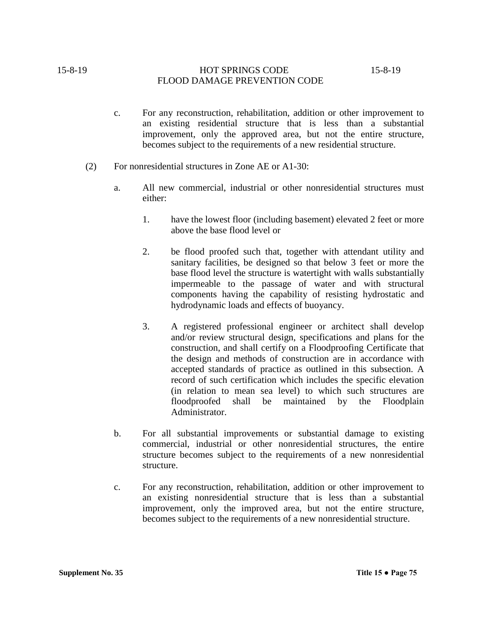- c. For any reconstruction, rehabilitation, addition or other improvement to an existing residential structure that is less than a substantial improvement, only the approved area, but not the entire structure, becomes subject to the requirements of a new residential structure.
- (2) For nonresidential structures in Zone AE or A1-30:
	- a. All new commercial, industrial or other nonresidential structures must either:
		- 1. have the lowest floor (including basement) elevated 2 feet or more above the base flood level or
		- 2. be flood proofed such that, together with attendant utility and sanitary facilities, be designed so that below 3 feet or more the base flood level the structure is watertight with walls substantially impermeable to the passage of water and with structural components having the capability of resisting hydrostatic and hydrodynamic loads and effects of buoyancy.
		- 3. A registered professional engineer or architect shall develop and/or review structural design, specifications and plans for the construction, and shall certify on a Floodproofing Certificate that the design and methods of construction are in accordance with accepted standards of practice as outlined in this subsection. A record of such certification which includes the specific elevation (in relation to mean sea level) to which such structures are floodproofed shall be maintained by the Floodplain Administrator.
	- b. For all substantial improvements or substantial damage to existing commercial, industrial or other nonresidential structures, the entire structure becomes subject to the requirements of a new nonresidential structure.
	- c. For any reconstruction, rehabilitation, addition or other improvement to an existing nonresidential structure that is less than a substantial improvement, only the improved area, but not the entire structure, becomes subject to the requirements of a new nonresidential structure.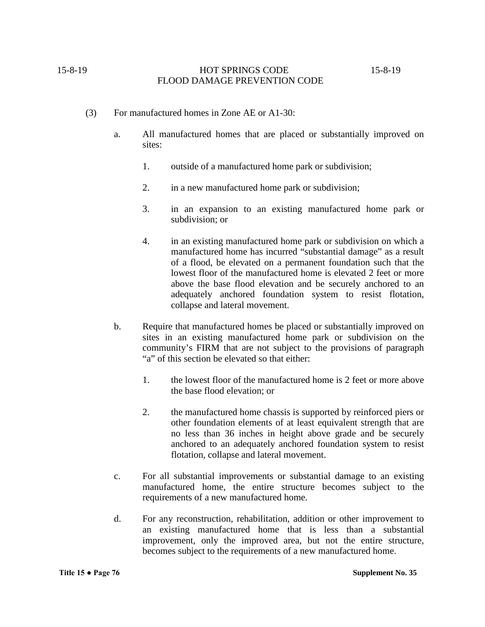- (3) For manufactured homes in Zone AE or A1-30:
	- a. All manufactured homes that are placed or substantially improved on sites:
		- 1. outside of a manufactured home park or subdivision;
		- 2. in a new manufactured home park or subdivision;
		- 3. in an expansion to an existing manufactured home park or subdivision; or
		- 4. in an existing manufactured home park or subdivision on which a manufactured home has incurred "substantial damage" as a result of a flood, be elevated on a permanent foundation such that the lowest floor of the manufactured home is elevated 2 feet or more above the base flood elevation and be securely anchored to an adequately anchored foundation system to resist flotation, collapse and lateral movement.
	- b. Require that manufactured homes be placed or substantially improved on sites in an existing manufactured home park or subdivision on the community's FIRM that are not subject to the provisions of paragraph "a" of this section be elevated so that either:
		- 1. the lowest floor of the manufactured home is 2 feet or more above the base flood elevation; or
		- 2. the manufactured home chassis is supported by reinforced piers or other foundation elements of at least equivalent strength that are no less than 36 inches in height above grade and be securely anchored to an adequately anchored foundation system to resist flotation, collapse and lateral movement.
	- c. For all substantial improvements or substantial damage to an existing manufactured home, the entire structure becomes subject to the requirements of a new manufactured home.
	- d. For any reconstruction, rehabilitation, addition or other improvement to an existing manufactured home that is less than a substantial improvement, only the improved area, but not the entire structure, becomes subject to the requirements of a new manufactured home.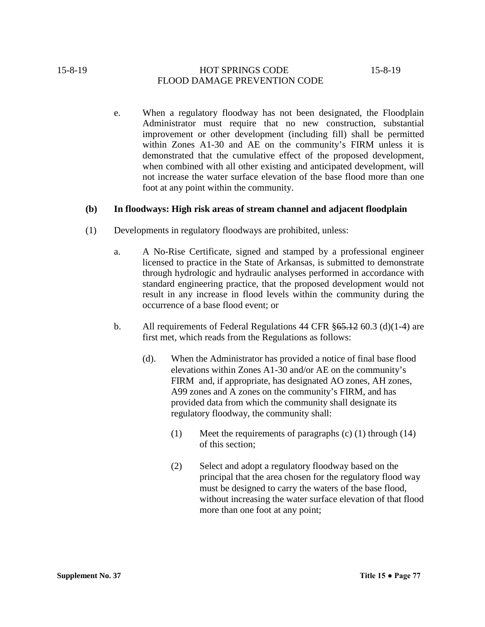e. When a regulatory floodway has not been designated, the Floodplain Administrator must require that no new construction, substantial improvement or other development (including fill) shall be permitted within Zones A1-30 and AE on the community's FIRM unless it is demonstrated that the cumulative effect of the proposed development, when combined with all other existing and anticipated development, will not increase the water surface elevation of the base flood more than one foot at any point within the community.

## **(b) In floodways: High risk areas of stream channel and adjacent floodplain**

- (1) Developments in regulatory floodways are prohibited, unless:
	- a. A No-Rise Certificate, signed and stamped by a professional engineer licensed to practice in the State of Arkansas, is submitted to demonstrate through hydrologic and hydraulic analyses performed in accordance with standard engineering practice, that the proposed development would not result in any increase in flood levels within the community during the occurrence of a base flood event; or
	- b. All requirements of Federal Regulations 44 CFR  $\S 65.12$  60.3 (d)(1-4) are first met, which reads from the Regulations as follows:
		- (d). When the Administrator has provided a notice of final base flood elevations within Zones A1-30 and/or AE on the community's FIRM and, if appropriate, has designated AO zones, AH zones, A99 zones and A zones on the community's FIRM, and has provided data from which the community shall designate its regulatory floodway, the community shall:
			- (1) Meet the requirements of paragraphs (c) (1) through (14) of this section;
			- (2) Select and adopt a regulatory floodway based on the principal that the area chosen for the regulatory flood way must be designed to carry the waters of the base flood, without increasing the water surface elevation of that flood more than one foot at any point;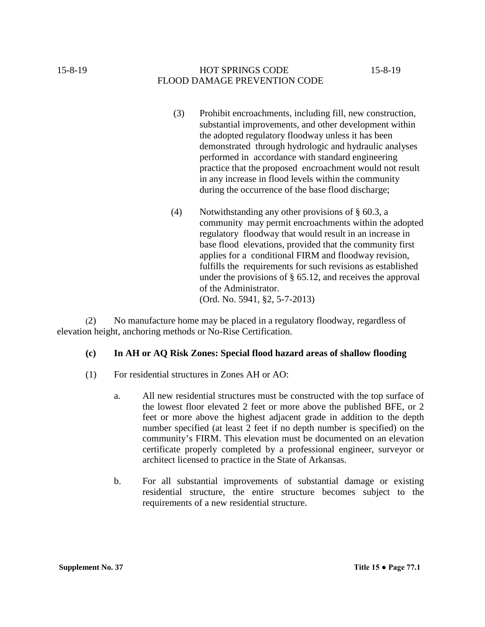- (3) Prohibit encroachments, including fill, new construction, substantial improvements, and other development within the adopted regulatory floodway unless it has been demonstrated through hydrologic and hydraulic analyses performed in accordance with standard engineering practice that the proposed encroachment would not result in any increase in flood levels within the community during the occurrence of the base flood discharge;
- (4) Notwithstanding any other provisions of § 60.3, a community may permit encroachments within the adopted regulatory floodway that would result in an increase in base flood elevations, provided that the community first applies for a conditional FIRM and floodway revision, fulfills the requirements for such revisions as established under the provisions of § 65.12, and receives the approval of the Administrator. (Ord. No. 5941, §2, 5-7-2013)

(2) No manufacture home may be placed in a regulatory floodway, regardless of elevation height, anchoring methods or No-Rise Certification.

# **(c) In AH or AQ Risk Zones: Special flood hazard areas of shallow flooding**

- (1) For residential structures in Zones AH or AO:
	- a. All new residential structures must be constructed with the top surface of the lowest floor elevated 2 feet or more above the published BFE, or 2 feet or more above the highest adjacent grade in addition to the depth number specified (at least 2 feet if no depth number is specified) on the community's FIRM. This elevation must be documented on an elevation certificate properly completed by a professional engineer, surveyor or architect licensed to practice in the State of Arkansas.
	- b. For all substantial improvements of substantial damage or existing residential structure, the entire structure becomes subject to the requirements of a new residential structure.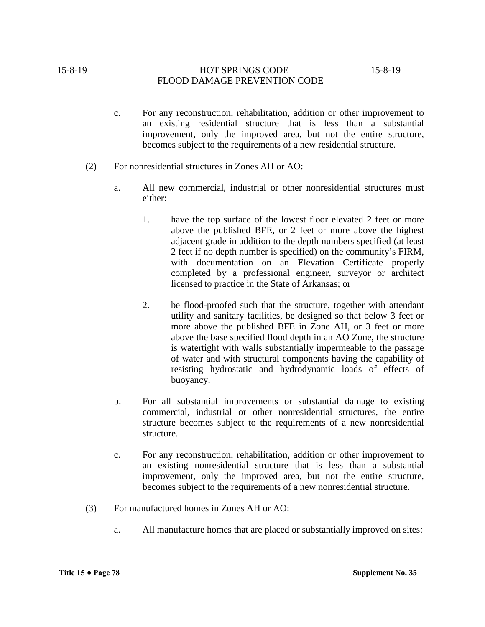- c. For any reconstruction, rehabilitation, addition or other improvement to an existing residential structure that is less than a substantial improvement, only the improved area, but not the entire structure, becomes subject to the requirements of a new residential structure.
- (2) For nonresidential structures in Zones AH or AO:
	- a. All new commercial, industrial or other nonresidential structures must either:
		- 1. have the top surface of the lowest floor elevated 2 feet or more above the published BFE, or 2 feet or more above the highest adjacent grade in addition to the depth numbers specified (at least 2 feet if no depth number is specified) on the community's FIRM, with documentation on an Elevation Certificate properly completed by a professional engineer, surveyor or architect licensed to practice in the State of Arkansas; or
		- 2. be flood-proofed such that the structure, together with attendant utility and sanitary facilities, be designed so that below 3 feet or more above the published BFE in Zone AH, or 3 feet or more above the base specified flood depth in an AO Zone, the structure is watertight with walls substantially impermeable to the passage of water and with structural components having the capability of resisting hydrostatic and hydrodynamic loads of effects of buoyancy.
	- b. For all substantial improvements or substantial damage to existing commercial, industrial or other nonresidential structures, the entire structure becomes subject to the requirements of a new nonresidential structure.
	- c. For any reconstruction, rehabilitation, addition or other improvement to an existing nonresidential structure that is less than a substantial improvement, only the improved area, but not the entire structure, becomes subject to the requirements of a new nonresidential structure.
- (3) For manufactured homes in Zones AH or AO:
	- a. All manufacture homes that are placed or substantially improved on sites: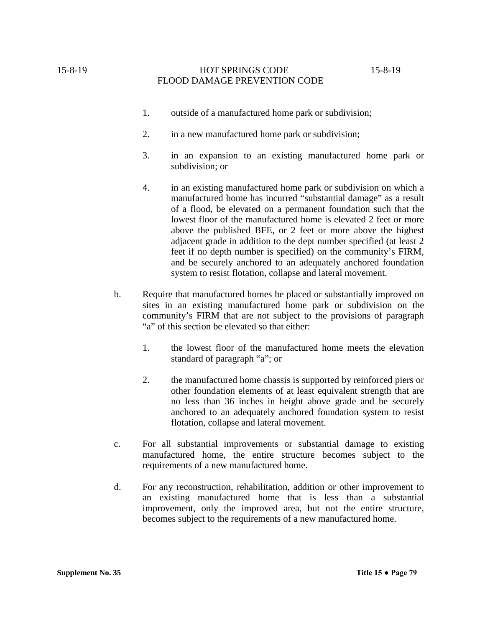- 1. outside of a manufactured home park or subdivision;
- 2. in a new manufactured home park or subdivision;
- 3. in an expansion to an existing manufactured home park or subdivision; or
- 4. in an existing manufactured home park or subdivision on which a manufactured home has incurred "substantial damage" as a result of a flood, be elevated on a permanent foundation such that the lowest floor of the manufactured home is elevated 2 feet or more above the published BFE, or 2 feet or more above the highest adjacent grade in addition to the dept number specified (at least 2 feet if no depth number is specified) on the community's FIRM, and be securely anchored to an adequately anchored foundation system to resist flotation, collapse and lateral movement.
- b. Require that manufactured homes be placed or substantially improved on sites in an existing manufactured home park or subdivision on the community's FIRM that are not subject to the provisions of paragraph "a" of this section be elevated so that either:
	- 1. the lowest floor of the manufactured home meets the elevation standard of paragraph "a"; or
	- 2. the manufactured home chassis is supported by reinforced piers or other foundation elements of at least equivalent strength that are no less than 36 inches in height above grade and be securely anchored to an adequately anchored foundation system to resist flotation, collapse and lateral movement.
- c. For all substantial improvements or substantial damage to existing manufactured home, the entire structure becomes subject to the requirements of a new manufactured home.
- d. For any reconstruction, rehabilitation, addition or other improvement to an existing manufactured home that is less than a substantial improvement, only the improved area, but not the entire structure, becomes subject to the requirements of a new manufactured home.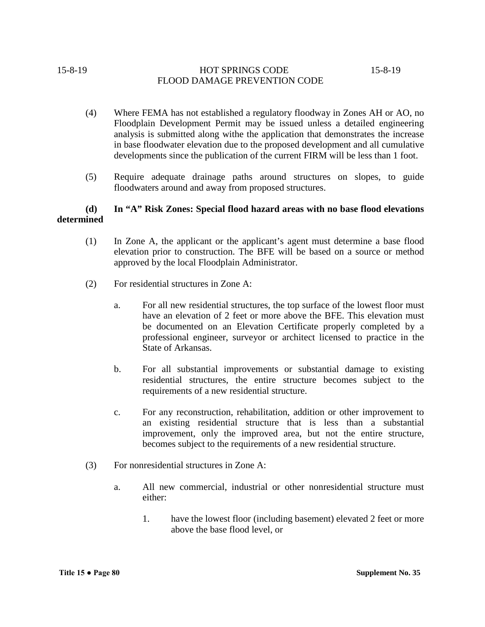- (4) Where FEMA has not established a regulatory floodway in Zones AH or AO, no Floodplain Development Permit may be issued unless a detailed engineering analysis is submitted along withe the application that demonstrates the increase in base floodwater elevation due to the proposed development and all cumulative developments since the publication of the current FIRM will be less than 1 foot.
- (5) Require adequate drainage paths around structures on slopes, to guide floodwaters around and away from proposed structures.

## **(d) In "A" Risk Zones: Special flood hazard areas with no base flood elevations determined**

- (1) In Zone A, the applicant or the applicant's agent must determine a base flood elevation prior to construction. The BFE will be based on a source or method approved by the local Floodplain Administrator.
- (2) For residential structures in Zone A:
	- a. For all new residential structures, the top surface of the lowest floor must have an elevation of 2 feet or more above the BFE. This elevation must be documented on an Elevation Certificate properly completed by a professional engineer, surveyor or architect licensed to practice in the State of Arkansas.
	- b. For all substantial improvements or substantial damage to existing residential structures, the entire structure becomes subject to the requirements of a new residential structure.
	- c. For any reconstruction, rehabilitation, addition or other improvement to an existing residential structure that is less than a substantial improvement, only the improved area, but not the entire structure, becomes subject to the requirements of a new residential structure.
- (3) For nonresidential structures in Zone A:
	- a. All new commercial, industrial or other nonresidential structure must either:
		- 1. have the lowest floor (including basement) elevated 2 feet or more above the base flood level, or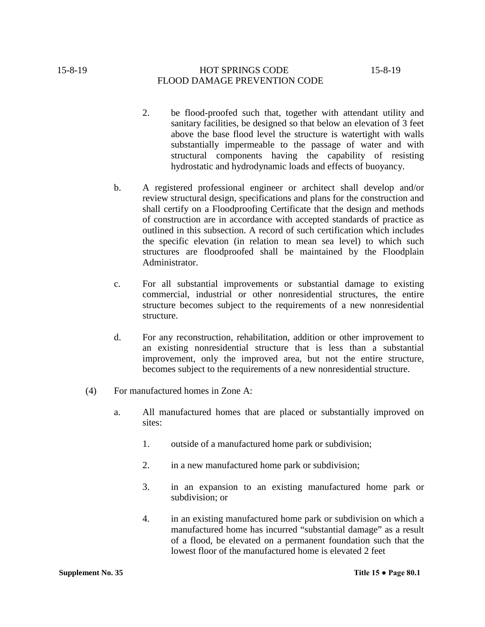- 2. be flood-proofed such that, together with attendant utility and sanitary facilities, be designed so that below an elevation of 3 feet above the base flood level the structure is watertight with walls substantially impermeable to the passage of water and with structural components having the capability of resisting hydrostatic and hydrodynamic loads and effects of buoyancy.
- b. A registered professional engineer or architect shall develop and/or review structural design, specifications and plans for the construction and shall certify on a Floodproofing Certificate that the design and methods of construction are in accordance with accepted standards of practice as outlined in this subsection. A record of such certification which includes the specific elevation (in relation to mean sea level) to which such structures are floodproofed shall be maintained by the Floodplain Administrator.
- c. For all substantial improvements or substantial damage to existing commercial, industrial or other nonresidential structures, the entire structure becomes subject to the requirements of a new nonresidential structure.
- d. For any reconstruction, rehabilitation, addition or other improvement to an existing nonresidential structure that is less than a substantial improvement, only the improved area, but not the entire structure, becomes subject to the requirements of a new nonresidential structure.
- (4) For manufactured homes in Zone A:
	- a. All manufactured homes that are placed or substantially improved on sites:
		- 1. outside of a manufactured home park or subdivision;
		- 2. in a new manufactured home park or subdivision;
		- 3. in an expansion to an existing manufactured home park or subdivision; or
		- 4. in an existing manufactured home park or subdivision on which a manufactured home has incurred "substantial damage" as a result of a flood, be elevated on a permanent foundation such that the lowest floor of the manufactured home is elevated 2 feet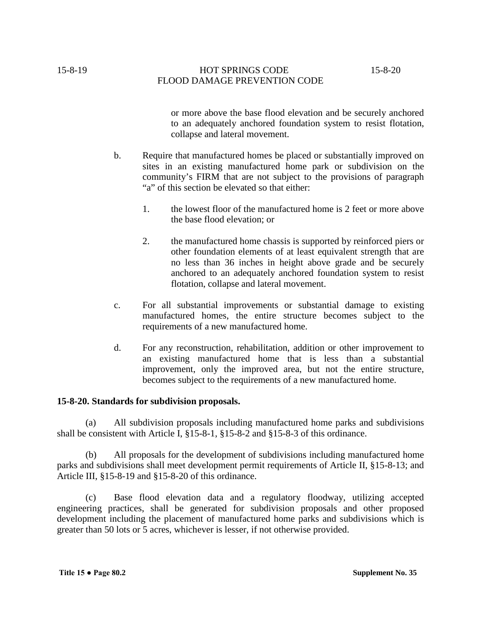or more above the base flood elevation and be securely anchored to an adequately anchored foundation system to resist flotation, collapse and lateral movement.

- b. Require that manufactured homes be placed or substantially improved on sites in an existing manufactured home park or subdivision on the community's FIRM that are not subject to the provisions of paragraph "a" of this section be elevated so that either:
	- 1. the lowest floor of the manufactured home is 2 feet or more above the base flood elevation; or
	- 2. the manufactured home chassis is supported by reinforced piers or other foundation elements of at least equivalent strength that are no less than 36 inches in height above grade and be securely anchored to an adequately anchored foundation system to resist flotation, collapse and lateral movement.
- c. For all substantial improvements or substantial damage to existing manufactured homes, the entire structure becomes subject to the requirements of a new manufactured home.
- d. For any reconstruction, rehabilitation, addition or other improvement to an existing manufactured home that is less than a substantial improvement, only the improved area, but not the entire structure, becomes subject to the requirements of a new manufactured home.

## **15-8-20. Standards for subdivision proposals.**

(a) All subdivision proposals including manufactured home parks and subdivisions shall be consistent with Article I, §15-8-1, §15-8-2 and §15-8-3 of this ordinance.

(b) All proposals for the development of subdivisions including manufactured home parks and subdivisions shall meet development permit requirements of Article II, §15-8-13; and Article III, §15-8-19 and §15-8-20 of this ordinance.

(c) Base flood elevation data and a regulatory floodway, utilizing accepted engineering practices, shall be generated for subdivision proposals and other proposed development including the placement of manufactured home parks and subdivisions which is greater than 50 lots or 5 acres, whichever is lesser, if not otherwise provided.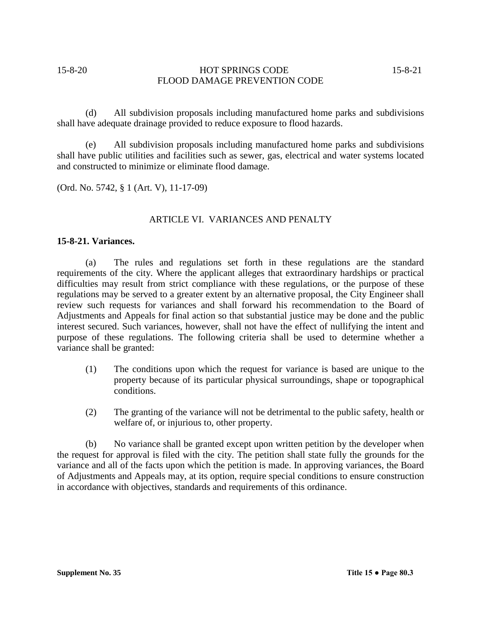(d) All subdivision proposals including manufactured home parks and subdivisions shall have adequate drainage provided to reduce exposure to flood hazards.

(e) All subdivision proposals including manufactured home parks and subdivisions shall have public utilities and facilities such as sewer, gas, electrical and water systems located and constructed to minimize or eliminate flood damage.

(Ord. No. 5742, § 1 (Art. V), 11-17-09)

## ARTICLE VI. VARIANCES AND PENALTY

## **15-8-21. Variances.**

(a) The rules and regulations set forth in these regulations are the standard requirements of the city. Where the applicant alleges that extraordinary hardships or practical difficulties may result from strict compliance with these regulations, or the purpose of these regulations may be served to a greater extent by an alternative proposal, the City Engineer shall review such requests for variances and shall forward his recommendation to the Board of Adjustments and Appeals for final action so that substantial justice may be done and the public interest secured. Such variances, however, shall not have the effect of nullifying the intent and purpose of these regulations. The following criteria shall be used to determine whether a variance shall be granted:

- (1) The conditions upon which the request for variance is based are unique to the property because of its particular physical surroundings, shape or topographical conditions.
- (2) The granting of the variance will not be detrimental to the public safety, health or welfare of, or injurious to, other property.

(b) No variance shall be granted except upon written petition by the developer when the request for approval is filed with the city. The petition shall state fully the grounds for the variance and all of the facts upon which the petition is made. In approving variances, the Board of Adjustments and Appeals may, at its option, require special conditions to ensure construction in accordance with objectives, standards and requirements of this ordinance.